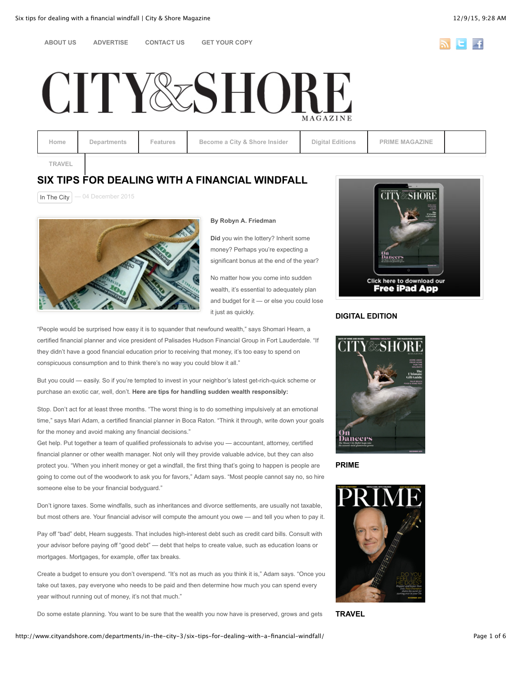**[ABOUT US](http://www.cityandshore.com/about-us/) [ADVERTISE](http://www.cityandshore.com/advertise/) [CONTACT US](http://www.cityandshore.com/contact/) [GET YOUR COPY](http://www.cityandshore.com/get-your-copy/)**



# **CITY&SHORE**

| Home   | Departments | Features | Become a City & Shore Insider | <b>Digital Editions</b> | <b>PRIME MAGAZINE</b> |  |
|--------|-------------|----------|-------------------------------|-------------------------|-----------------------|--|
| TRAVEL |             |          |                               |                         |                       |  |

# **[SIX TIPS FOR DEALING WITH A FINANCIAL WINDFALL](http://www.cityandshore.com/departments/in-the-city-3/six-tips-for-dealing-with-a-financial-windfall/)**

[In The City](http://www.cityandshore.com/category/departments/in-the-city-3/)  $|-04$  December 2015



#### **By Robyn A. Friedman**

**Did** you win the lottery? Inherit some money? Perhaps you're expecting a significant bonus at the end of the year?

No matter how you come into sudden wealth, it's essential to adequately plan and budget for it — or else you could lose it just as quickly.

"People would be surprised how easy it is to squander that newfound wealth," says Shomari Hearn, a certified financial planner and vice president of Palisades Hudson Financial Group in Fort Lauderdale. "If they didn't have a good financial education prior to receiving that money, it's too easy to spend on conspicuous consumption and to think there's no way you could blow it all."

But you could — easily. So if you're tempted to invest in your neighbor's latest get-rich-quick scheme or purchase an exotic car, well, don't. **Here are tips for handling sudden wealth responsibly:**

Stop. Don't act for at least three months. "The worst thing is to do something impulsively at an emotional time," says Mari Adam, a certified financial planner in Boca Raton. "Think it through, write down your goals for the money and avoid making any financial decisions."

Get help. Put together a team of qualified professionals to advise you — accountant, attorney, certified financial planner or other wealth manager. Not only will they provide valuable advice, but they can also protect you. "When you inherit money or get a windfall, the first thing that's going to happen is people are going to come out of the woodwork to ask you for favors," Adam says. "Most people cannot say no, so hire someone else to be your financial bodyguard."

Don't ignore taxes. Some windfalls, such as inheritances and divorce settlements, are usually not taxable, but most others are. Your financial advisor will compute the amount you owe — and tell you when to pay it.

Pay off "bad" debt, Hearn suggests. That includes high-interest debt such as credit card bills. Consult with your advisor before paying off "good debt" — debt that helps to create value, such as education loans or mortgages. Mortgages, for example, offer tax breaks.

Create a budget to ensure you don't overspend. "It's not as much as you think it is," Adam says. "Once you take out taxes, pay everyone who needs to be paid and then determine how much you can spend every year without running out of money, it's not that much."

Do some estate planning. You want to be sure that the wealth you now have is preserved, grows and gets



## **DIGITAL EDITION**



**PRIME**



**TRAVEL**